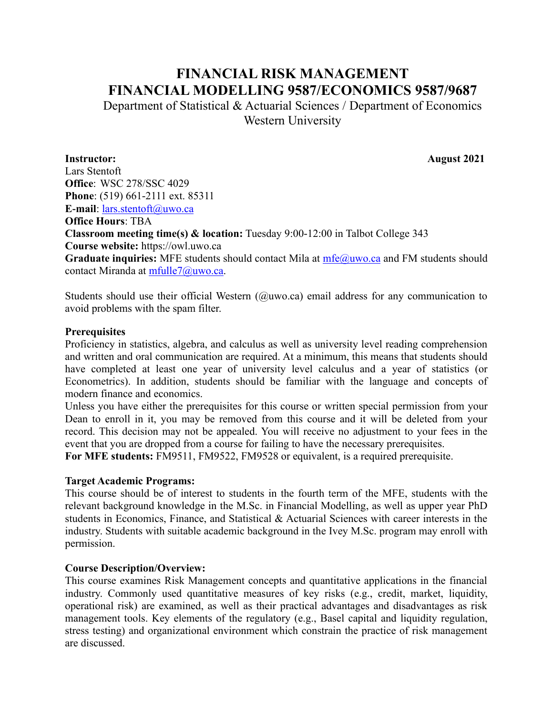# **FINANCIAL RISK MANAGEMENT FINANCIAL MODELLING 9587/ECONOMICS 9587/9687**

Department of Statistical & Actuarial Sciences / Department of Economics Western University

**Instructor: August 2021**

Lars Stentoft **Office**: WSC 278/SSC 4029 **Phone**: (519) 661-2111 ext. 85311 **E-mail**: lars.stentoft@uwo.ca **Office Hours**: TBA **Classroom meeting time(s) & location:** Tuesday 9:00-12:00 in Talbot College 343 **Course website:** https://owl.uwo.ca Graduate inquiries: MFE students should contact Mila at [mfe@uwo.ca](mailto:mfe@uwo.ca) and FM students should contact Miranda at [mfulle7@uwo.ca.](mailto:mfulle7@uwo.ca)

Students should use their official Western (@uwo.ca) email address for any communication to avoid problems with the spam filter.

#### **Prerequisites**

Proficiency in statistics, algebra, and calculus as well as university level reading comprehension and written and oral communication are required. At a minimum, this means that students should have completed at least one year of university level calculus and a year of statistics (or Econometrics). In addition, students should be familiar with the language and concepts of modern finance and economics.

Unless you have either the prerequisites for this course or written special permission from your Dean to enroll in it, you may be removed from this course and it will be deleted from your record. This decision may not be appealed. You will receive no adjustment to your fees in the event that you are dropped from a course for failing to have the necessary prerequisites.

**For MFE students:** FM9511, FM9522, FM9528 or equivalent, is a required prerequisite.

### **Target Academic Programs:**

This course should be of interest to students in the fourth term of the MFE, students with the relevant background knowledge in the M.Sc. in Financial Modelling, as well as upper year PhD students in Economics, Finance, and Statistical & Actuarial Sciences with career interests in the industry. Students with suitable academic background in the Ivey M.Sc. program may enroll with permission.

### **Course Description/Overview:**

This course examines Risk Management concepts and quantitative applications in the financial industry. Commonly used quantitative measures of key risks (e.g., credit, market, liquidity, operational risk) are examined, as well as their practical advantages and disadvantages as risk management tools. Key elements of the regulatory (e.g., Basel capital and liquidity regulation, stress testing) and organizational environment which constrain the practice of risk management are discussed.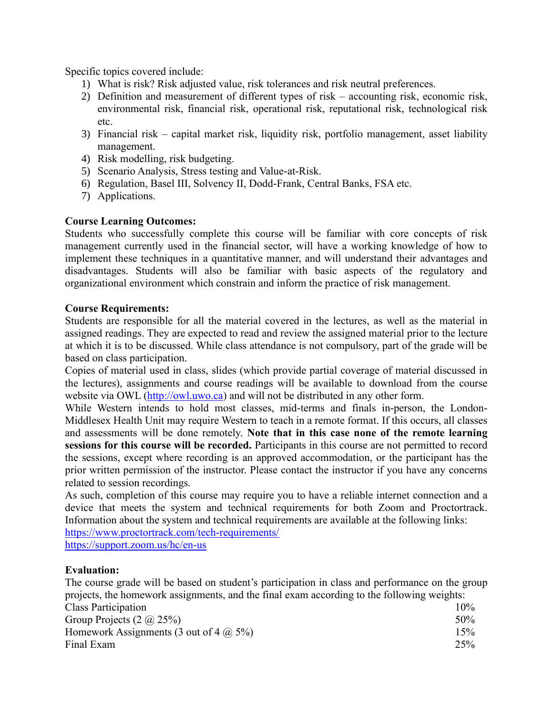Specific topics covered include:

- 1) What is risk? Risk adjusted value, risk tolerances and risk neutral preferences.
- 2) Definition and measurement of different types of risk accounting risk, economic risk, environmental risk, financial risk, operational risk, reputational risk, technological risk etc.
- 3) Financial risk capital market risk, liquidity risk, portfolio management, asset liability management.
- 4) Risk modelling, risk budgeting.
- 5) Scenario Analysis, Stress testing and Value-at-Risk.
- 6) Regulation, Basel III, Solvency II, Dodd-Frank, Central Banks, FSA etc.
- 7) Applications.

## **Course Learning Outcomes:**

Students who successfully complete this course will be familiar with core concepts of risk management currently used in the financial sector, will have a working knowledge of how to implement these techniques in a quantitative manner, and will understand their advantages and disadvantages. Students will also be familiar with basic aspects of the regulatory and organizational environment which constrain and inform the practice of risk management.

### **Course Requirements:**

Students are responsible for all the material covered in the lectures, as well as the material in assigned readings. They are expected to read and review the assigned material prior to the lecture at which it is to be discussed. While class attendance is not compulsory, part of the grade will be based on class participation.

Copies of material used in class, slides (which provide partial coverage of material discussed in the lectures), assignments and course readings will be available to download from the course website via OWL [\(http://owl.uwo.ca\)](http://owl.uwo.ca/) and will not be distributed in any other form.

While Western intends to hold most classes, mid-terms and finals in-person, the London-Middlesex Health Unit may require Western to teach in a remote format. If this occurs, all classes and assessments will be done remotely. **Note that in this case none of the remote learning sessions for this course will be recorded.** Participants in this course are not permitted to record the sessions, except where recording is an approved accommodation, or the participant has the prior written permission of the instructor. Please contact the instructor if you have any concerns related to session recordings.

As such, completion of this course may require you to have a reliable internet connection and a device that meets the system and technical requirements for both Zoom and Proctortrack. Information about the system and technical requirements are available at the following links:

<https://www.proctortrack.com/tech-requirements/>

<https://support.zoom.us/hc/en-us>

### **Evaluation:**

The course grade will be based on student's participation in class and performance on the group projects, the homework assignments, and the final exam according to the following weights:

| Class Participation                           | 10% |
|-----------------------------------------------|-----|
| Group Projects $(2 \hat{\omega} 25\%)$        | 50% |
| Homework Assignments (3 out of 4 $\omega$ 5%) | 15% |
| Final Exam                                    | 25% |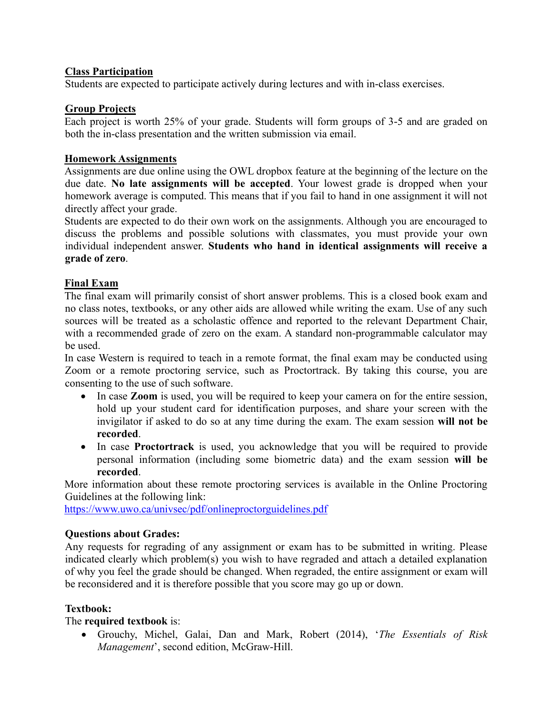## **Class Participation**

Students are expected to participate actively during lectures and with in-class exercises.

## **Group Projects**

Each project is worth 25% of your grade. Students will form groups of 3-5 and are graded on both the in-class presentation and the written submission via email.

## **Homework Assignments**

Assignments are due online using the OWL dropbox feature at the beginning of the lecture on the due date. **No late assignments will be accepted**. Your lowest grade is dropped when your homework average is computed. This means that if you fail to hand in one assignment it will not directly affect your grade.

Students are expected to do their own work on the assignments. Although you are encouraged to discuss the problems and possible solutions with classmates, you must provide your own individual independent answer. **Students who hand in identical assignments will receive a grade of zero**.

## **Final Exam**

The final exam will primarily consist of short answer problems. This is a closed book exam and no class notes, textbooks, or any other aids are allowed while writing the exam. Use of any such sources will be treated as a scholastic offence and reported to the relevant Department Chair, with a recommended grade of zero on the exam. A standard non-programmable calculator may be used.

In case Western is required to teach in a remote format, the final exam may be conducted using Zoom or a remote proctoring service, such as Proctortrack. By taking this course, you are consenting to the use of such software.

- In case **Zoom** is used, you will be required to keep your camera on for the entire session, hold up your student card for identification purposes, and share your screen with the invigilator if asked to do so at any time during the exam. The exam session **will not be recorded**.
- In case **Proctortrack** is used, you acknowledge that you will be required to provide personal information (including some biometric data) and the exam session **will be recorded**.

More information about these remote proctoring services is available in the Online Proctoring Guidelines at the following link:

<https://www.uwo.ca/univsec/pdf/onlineproctorguidelines.pdf>

## **Questions about Grades:**

Any requests for regrading of any assignment or exam has to be submitted in writing. Please indicated clearly which problem(s) you wish to have regraded and attach a detailed explanation of why you feel the grade should be changed. When regraded, the entire assignment or exam will be reconsidered and it is therefore possible that you score may go up or down.

## **Textbook:**

## The **required textbook** is:

• Grouchy, Michel, Galai, Dan and Mark, Robert (2014), '*The Essentials of Risk Management*', second edition, McGraw-Hill.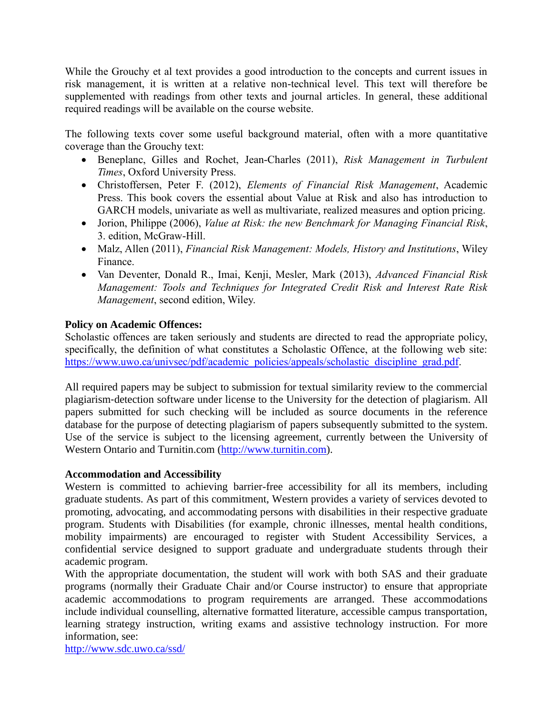While the Grouchy et al text provides a good introduction to the concepts and current issues in risk management, it is written at a relative non-technical level. This text will therefore be supplemented with readings from other texts and journal articles. In general, these additional required readings will be available on the course website.

The following texts cover some useful background material, often with a more quantitative coverage than the Grouchy text:

- Beneplanc, Gilles and Rochet, Jean-Charles (2011), *Risk Management in Turbulent Times*, Oxford University Press.
- Christoffersen, Peter F. (2012), *Elements of Financial Risk Management*, Academic Press. This book covers the essential about Value at Risk and also has introduction to GARCH models, univariate as well as multivariate, realized measures and option pricing.
- Jorion, Philippe (2006), *Value at Risk: the new Benchmark for Managing Financial Risk*, 3. edition, McGraw-Hill.
- Malz, Allen (2011), *Financial Risk Management: Models, History and Institutions*, Wiley Finance.
- Van Deventer, Donald R., Imai, Kenji, Mesler, Mark (2013), *Advanced Financial Risk Management: Tools and Techniques for Integrated Credit Risk and Interest Rate Risk Management*, second edition, Wiley.

## **Policy on Academic Offences:**

Scholastic offences are taken seriously and students are directed to read the appropriate policy, specifically, the definition of what constitutes a Scholastic Offence, at the following web site: [https://www.uwo.ca/univsec/pdf/academic\\_policies/appeals/scholastic\\_discipline\\_grad.pdf.](https://www.uwo.ca/univsec/pdf/academic_policies/appeals/scholastic_discipline_grad.pdf)

All required papers may be subject to submission for textual similarity review to the commercial plagiarism‐detection software under license to the University for the detection of plagiarism. All papers submitted for such checking will be included as source documents in the reference database for the purpose of detecting plagiarism of papers subsequently submitted to the system. Use of the service is subject to the licensing agreement, currently between the University of Western Ontario and Turnitin.com [\(http://www.turnitin.com\)](http://www.turnitin.com/).

## **Accommodation and Accessibility**

Western is committed to achieving barrier-free accessibility for all its members, including graduate students. As part of this commitment, Western provides a variety of services devoted to promoting, advocating, and accommodating persons with disabilities in their respective graduate program. Students with Disabilities (for example, chronic illnesses, mental health conditions, mobility impairments) are encouraged to register with Student Accessibility Services, a confidential service designed to support graduate and undergraduate students through their academic program.

With the appropriate documentation, the student will work with both SAS and their graduate programs (normally their Graduate Chair and/or Course instructor) to ensure that appropriate academic accommodations to program requirements are arranged. These accommodations include individual counselling, alternative formatted literature, accessible campus transportation, learning strategy instruction, writing exams and assistive technology instruction. For more information, see:

<http://www.sdc.uwo.ca/ssd/>